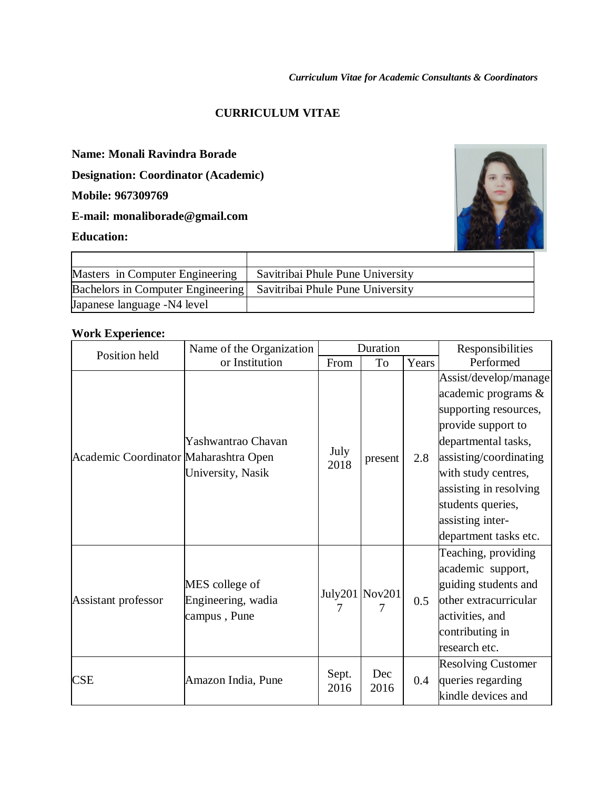### **CURRICULUM VITAE**

Τ

## **Name: Monali Ravindra Borade**

**Designation: Coordinator (Academic)** 

**Mobile: 967309769**

**E-mail: monaliborade@gmail.com**

#### **Education:**

 $\Gamma$ 



| Masters in Computer Engineering                                      | Savitribai Phule Pune University |
|----------------------------------------------------------------------|----------------------------------|
| Bachelors in Computer Engineering   Savitribai Phule Pune University |                                  |
| Japanese language -N4 level                                          |                                  |

### **Work Experience:**

| Position held                         | Name of the Organization                             |               | Duration                      |       | Responsibilities                                                                                                                                                                                                                                                   |
|---------------------------------------|------------------------------------------------------|---------------|-------------------------------|-------|--------------------------------------------------------------------------------------------------------------------------------------------------------------------------------------------------------------------------------------------------------------------|
|                                       | or Institution                                       | From          | To                            | Years | Performed                                                                                                                                                                                                                                                          |
| Academic Coordinator Maharashtra Open | Yashwantrao Chavan<br>University, Nasik              | July<br>2018  | present                       | 2.8   | Assist/develop/manage<br>academic programs $\&$<br>supporting resources,<br>provide support to<br>departmental tasks,<br>assisting/coordinating<br>with study centres,<br>assisting in resolving<br>students queries,<br>assisting inter-<br>department tasks etc. |
| Assistant professor                   | MES college of<br>Engineering, wadia<br>campus, Pune |               | July201 $\sqrt{N}$ ov201<br>7 | 0.5   | Teaching, providing<br>academic support,<br>guiding students and<br>other extracurricular<br>activities, and<br>contributing in<br>research etc.                                                                                                                   |
| CSE                                   | Amazon India, Pune                                   | Sept.<br>2016 | Dec<br>2016                   | 0.4   | <b>Resolving Customer</b><br>queries regarding<br>kindle devices and                                                                                                                                                                                               |